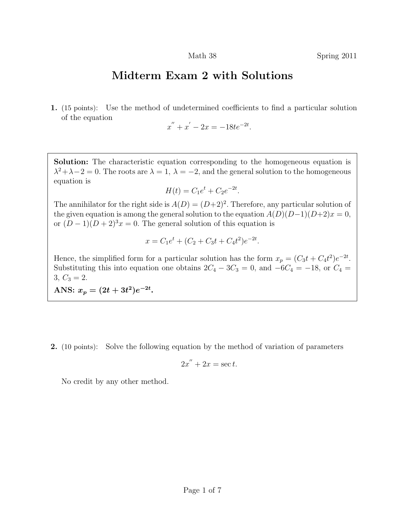## Midterm Exam 2 with Solutions

1. (15 points): Use the method of undetermined coefficients to find a particular solution of the equation

$$
x'' + x' - 2x = -18te^{-2t}.
$$

Solution: The characteristic equation corresponding to the homogeneous equation is  $\lambda^2 + \lambda - 2 = 0$ . The roots are  $\lambda = 1$ ,  $\lambda = -2$ , and the general solution to the homogeneous equation is

$$
H(t) = C_1 e^t + C_2 e^{-2t}.
$$

The annihilator for the right side is  $A(D) = (D+2)^2$ . Therefore, any particular solution of the given equation is among the general solution to the equation  $A(D)(D-1)(D+2)x = 0$ , or  $(D-1)(D+2)^3x=0$ . The general solution of this equation is

$$
x = C_1 e^t + (C_2 + C_3 t + C_4 t^2) e^{-2t}.
$$

Hence, the simplified form for a particular solution has the form  $x_p = (C_3t + C_4t^2)e^{-2t}$ . Substituting this into equation one obtains  $2C_4 - 3C_3 = 0$ , and  $-6C_4 = -18$ , or  $C_4 =$  $3, C_3 = 2.$ 

ANS:  $x_p = (2t + 3t^2)e^{-2t}$ .

2. (10 points): Solve the following equation by the method of variation of parameters

$$
2x'' + 2x = \sec t.
$$

No credit by any other method.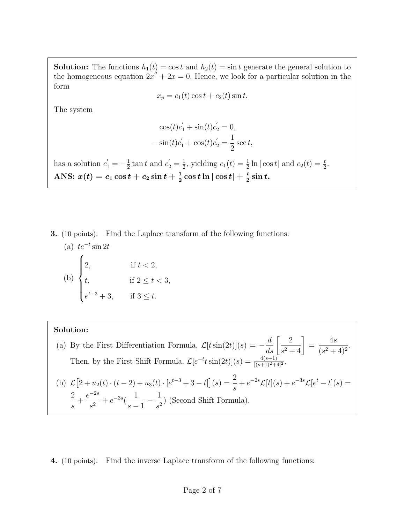**Solution:** The functions  $h_1(t) = \cos t$  and  $h_2(t) = \sin t$  generate the general solution to the homogeneous equation  $2x'' + 2x = 0$ . Hence, we look for a particular solution in the form

$$
x_p = c_1(t) \cos t + c_2(t) \sin t.
$$

The system

$$
\cos(t)c'_1 + \sin(t)c'_2 = 0,
$$
  
-
$$
\sin(t)c'_1 + \cos(t)c'_2 = \frac{1}{2}\sec t,
$$

has a solution  $c'_1 = -\frac{1}{2}$  $\frac{1}{2}$  tan t and  $c_2' = \frac{1}{2}$  $\frac{1}{2}$ , yielding  $c_1(t) = \frac{1}{2} \ln |\cos t|$  and  $c_2(t) = \frac{t}{2}$ . ANS:  $x(t) = c_1 \cos t + c_2 \sin t + \frac{1}{2} \cos t \ln |\cos t| + \frac{t}{2} \sin t.$ 

3. (10 points): Find the Laplace transform of the following functions:

(a) 
$$
te^{-t} \sin 2t
$$
  
\n(b) 
$$
\begin{cases}\n2, & \text{if } t < 2, \\
t, & \text{if } 2 \le t < 3, \\
e^{t-3} + 3, & \text{if } 3 \le t.\n\end{cases}
$$

## Solution:

- (a) By the First Differentiation Formula,  $\mathcal{L}[t \sin(2t)](s) = -\frac{d}{ds} \left[ \frac{2}{s^2 + 1} \right]$  $\frac{2}{s^2+4}$ = 4s  $\frac{16}{(s^2+4)^2}$ . Then, by the First Shift Formula,  $\mathcal{L}[e^{-t}t\sin(2t)](s) = \frac{4(s+1)}{[(s+1)^2+4]^2}$ . (b)  $\mathcal{L}[2+u_2(t)\cdot(t-2)+u_3(t)\cdot[e^{t-3}+3-t]](s) = \frac{2}{s}$ s  $+e^{-2s}\mathcal{L}[t](s)+e^{-3s}\mathcal{L}[e^{t}-t](s)=$ 2 s  $^{+}$  $e^{-2s}$  $\frac{1}{s^2} + e^{-3s}$ 1  $s-1$  $-\frac{1}{4}$  $\frac{1}{s^2}$  (Second Shift Formula).
- 4. (10 points): Find the inverse Laplace transform of the following functions: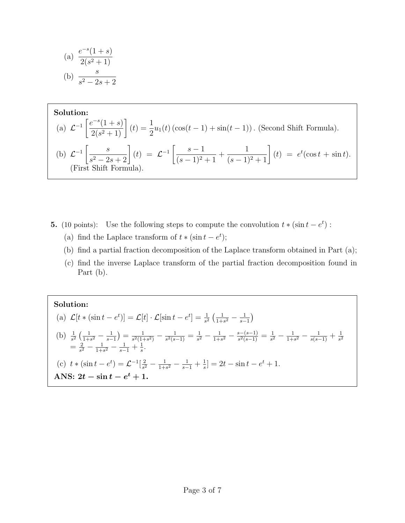(a) 
$$
\frac{e^{-s}(1+s)}{2(s^2+1)}
$$
  
(b) 
$$
\frac{s}{s^2-2s+2}
$$

Solution:  
\n(a) 
$$
\mathcal{L}^{-1} \left[ \frac{e^{-s}(1+s)}{2(s^2+1)} \right](t) = \frac{1}{2} u_1(t) \left( \cos(t-1) + \sin(t-1) \right)
$$
. (Second Shift Formula).  
\n(b)  $\mathcal{L}^{-1} \left[ \frac{s}{s^2 - 2s + 2} \right](t) = \mathcal{L}^{-1} \left[ \frac{s-1}{(s-1)^2 + 1} + \frac{1}{(s-1)^2 + 1} \right](t) = e^t (\cos t + \sin t)$ .  
\n(First Shift Formula).

- **5.** (10 points): Use the following steps to compute the convolution  $t * (\sin t e^t)$ :
	- (a) find the Laplace transform of  $t * (\sin t e^t)$ ;
	- (b) find a partial fraction decomposition of the Laplace transform obtained in Part (a);
	- (c) find the inverse Laplace transform of the partial fraction decomposition found in Part (b).

## Solution:

(a) 
$$
\mathcal{L}[t * (\sin t - e^t)] = \mathcal{L}[t] \cdot \mathcal{L}[\sin t - e^t] = \frac{1}{s^2} \left( \frac{1}{1+s^2} - \frac{1}{s-1} \right)
$$
  
\n(b)  $\frac{1}{s^2} \left( \frac{1}{1+s^2} - \frac{1}{s-1} \right) = \frac{1}{s^2(1+s^2)} - \frac{1}{s^2(s-1)} = \frac{1}{s^2} - \frac{1}{1+s^2} - \frac{s-(s-1)}{s^2(s-1)} = \frac{1}{s^2} - \frac{1}{1+s^2} - \frac{1}{s(s-1)} + \frac{1}{s^2}$   
\n $= \frac{2}{s^2} - \frac{1}{1+s^2} - \frac{1}{s-1} + \frac{1}{s}.$   
\n(c)  $t * (\sin t - e^t) = \mathcal{L}^{-1}[\frac{2}{s^2} - \frac{1}{1+s^2} - \frac{1}{s-1} + \frac{1}{s}] = 2t - \sin t - e^t + 1.$   
\nANS:  $2t - \sin t - e^t + 1.$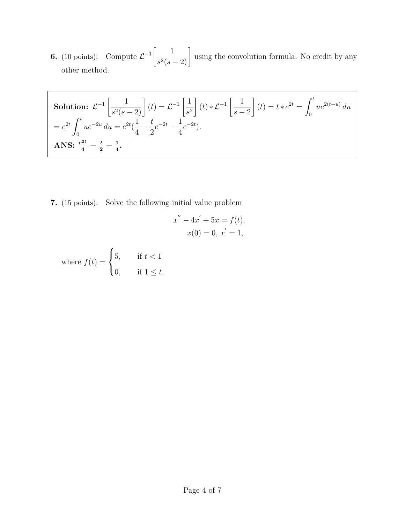**6.** (10 points): Compute  $\mathcal{L}^{-1}\left[\frac{1}{2\sqrt{2}}\right]$  $\frac{1}{s^2(s-2)}\right]$ using the convolution formula. No credit by any other method.

Solution: 
$$
\mathcal{L}^{-1} \left[ \frac{1}{s^2(s-2)} \right] (t) = \mathcal{L}^{-1} \left[ \frac{1}{s^2} \right] (t) * \mathcal{L}^{-1} \left[ \frac{1}{s-2} \right] (t) = t * e^{2t} = \int_0^t ue^{2(t-u)} du
$$
  
\n $= e^{2t} \int_0^t ue^{-2u} du = e^{2t} (\frac{1}{4} - \frac{t}{2}e^{-2t} - \frac{1}{4}e^{-2t}).$   
\nANS:  $\frac{e^{2t}}{4} - \frac{t}{2} - \frac{1}{4}.$ 

7. (15 points): Solve the following initial value problem

$$
x'' - 4x' + 5x = f(t),
$$
  

$$
x(0) = 0, x' = 1,
$$

where 
$$
f(t) = \begin{cases} 5, & \text{if } t < 1 \\ 0, & \text{if } 1 \leq t. \end{cases}
$$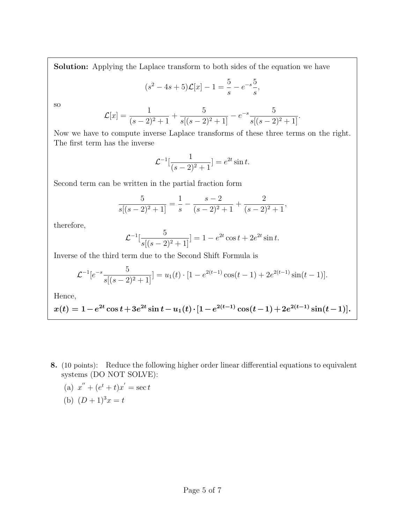Solution: Applying the Laplace transform to both sides of the equation we have

$$
(s2 - 4s + 5)\mathcal{L}[x] - 1 = \frac{5}{s} - e^{-s}\frac{5}{s},
$$

so

$$
\mathcal{L}[x] = \frac{1}{(s-2)^2 + 1} + \frac{5}{s[(s-2)^2 + 1]} - e^{-s} \frac{5}{s[(s-2)^2 + 1]}.
$$

Now we have to compute inverse Laplace transforms of these three terms on the right. The first term has the inverse

$$
\mathcal{L}^{-1}[\frac{1}{(s-2)^2+1}] = e^{2t} \sin t.
$$

Second term can be written in the partial fraction form

$$
\frac{5}{s[(s-2)^2+1]} = \frac{1}{s} - \frac{s-2}{(s-2)^2+1} + \frac{2}{(s-2)^2+1},
$$

therefore,

$$
\mathcal{L}^{-1}[\frac{5}{s[(s-2)^2+1]}] = 1 - e^{2t} \cos t + 2e^{2t} \sin t.
$$

Inverse of the third term due to the Second Shift Formula is

$$
\mathcal{L}^{-1}[e^{-s}\frac{5}{s[(s-2)^2+1]}] = u_1(t) \cdot [1 - e^{2(t-1)}\cos(t-1) + 2e^{2(t-1)}\sin(t-1)].
$$

Hence,

$$
x(t) = 1 - e^{2t} \cos t + 3e^{2t} \sin t - u_1(t) \cdot [1 - e^{2(t-1)} \cos(t-1) + 2e^{2(t-1)} \sin(t-1)].
$$

8. (10 points): Reduce the following higher order linear differential equations to equivalent systems (DO NOT SOLVE):

(a) 
$$
x'' + (e^t + t)x' = \sec t
$$
  
\n(b)  $(D+1)^3x = t$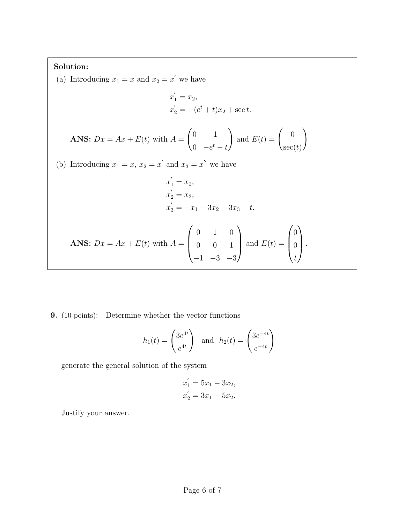## Solution:

(a) Introducing  $x_1 = x$  and  $x_2 = x'$  we have

$$
x'_{1} = x_{2},
$$
  
\n
$$
x'_{2} = -(e^{t} + t)x_{2} + \sec t.
$$

**ANS:** 
$$
Dx = Ax + E(t)
$$
 with  $A = \begin{pmatrix} 0 & 1 \\ 0 & -e^t - t \end{pmatrix}$  and  $E(t) = \begin{pmatrix} 0 \\ \sec(t) \end{pmatrix}$ 

(b) Introducing  $x_1 = x$ ,  $x_2 = x'$  and  $x_3 = x''$  we have

$$
x'_{1} = x_{2},
$$
  
\n
$$
x'_{2} = x_{3},
$$
  
\n
$$
x'_{3} = -x_{1} - 3x_{2} - 3x_{3} + t.
$$

**ANS:** 
$$
Dx = Ax + E(t)
$$
 with  $A = \begin{pmatrix} 0 & 1 & 0 \\ 0 & 0 & 1 \\ -1 & -3 & -3 \end{pmatrix}$  and  $E(t) = \begin{pmatrix} 0 \\ 0 \\ t \end{pmatrix}$ .

9. (10 points): Determine whether the vector functions

$$
h_1(t) = \begin{pmatrix} 3e^{4t} \\ e^{4t} \end{pmatrix} \text{ and } h_2(t) = \begin{pmatrix} 3e^{-4t} \\ e^{-4t} \end{pmatrix}
$$

generate the general solution of the system

$$
x_1' = 5x_1 - 3x_2,
$$
  

$$
x_2' = 3x_1 - 5x_2.
$$

Justify your answer.